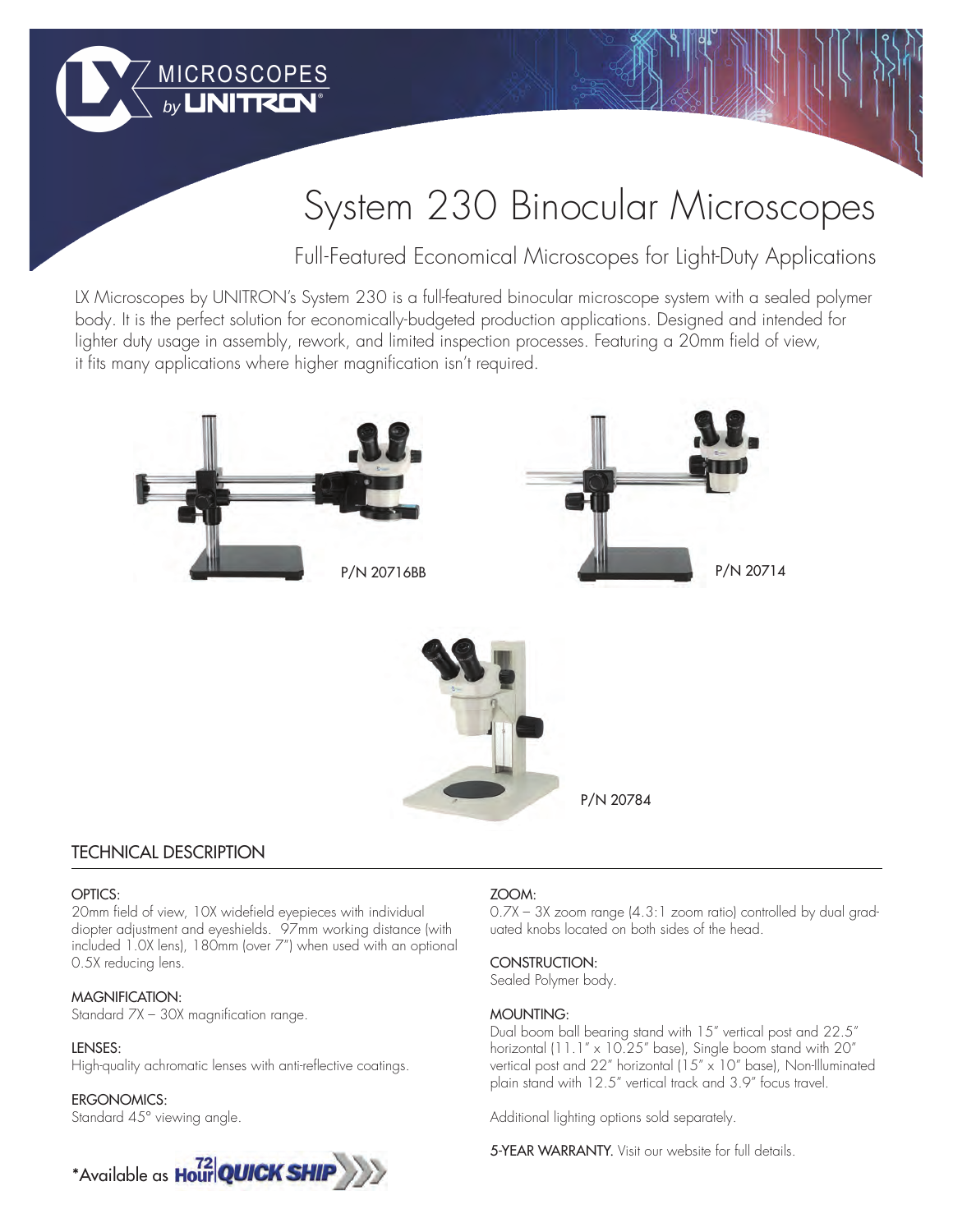

# System 230 Binocular Microscopes

Full-Featured Economical Microscopes for Light-Duty Applications

LX Microscopes by UNITRON's System 230 is a full-featured binocular microscope system with a sealed polymer body. It is the perfect solution for economically-budgeted production applications. Designed and intended for lighter duty usage in assembly, rework, and limited inspection processes. Featuring a 20mm field of view, it fits many applications where higher magnification isn't required.



## TECHNICAL DESCRIPTION

#### OPTICS:

20mm field of view, 10X widefield eyepieces with individual diopter adjustment and eyeshields. 97mm working distance (with included 1.0X lens), 180mm (over 7") when used with an optional 0.5X reducing lens.

#### MAGNIFICATION:

Standard 7X – 30X magnification range.

#### LENSES:

High-quality achromatic lenses with anti-reflective coatings.

#### ERGONOMICS:

Standard 45° viewing angle.



### ZOOM:

0.7X – 3X zoom range (4.3:1 zoom ratio) controlled by dual graduated knobs located on both sides of the head.

#### CONSTRUCTION:

Sealed Polymer body.

#### MOUNTING:

Dual boom ball bearing stand with 15" vertical post and 22.5" horizontal (11.1" x 10.25" base), Single boom stand with 20" vertical post and 22" horizontal (15" x 10" base), Non-Illuminated plain stand with 12.5" vertical track and 3.9" focus travel.

Additional lighting options sold separately.

5-YEAR WARRANTY. Visit our website for full details.